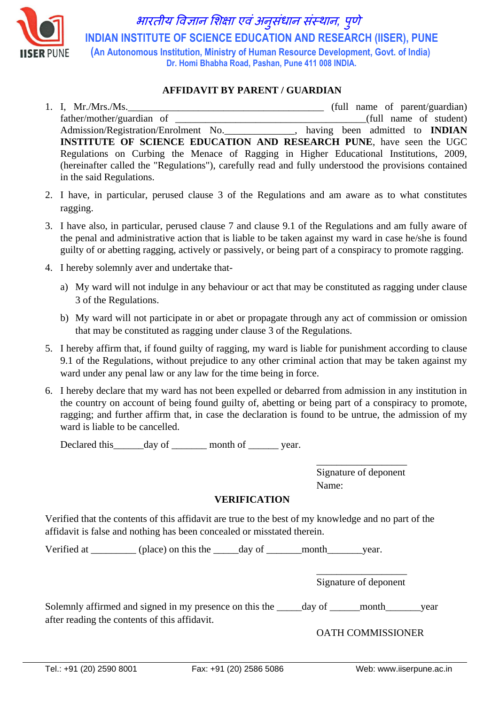

भारतीय विज्ञान शिक्षा एिंअन ुसंधान संस्थान*,* <sup>प</sup> ु णे  **INDIAN INSTITUTE OF SCIENCE EDUCATION AND RESEARCH (IISER), PUNE (An Autonomous Institution, Ministry of Human Resource Development, Govt. of India) Dr. Homi Bhabha Road, Pashan, Pune 411 008 INDIA.**

## **AFFIDAVIT BY PARENT / GUARDIAN**

- 1. I. Mr./Mrs./Ms. father/mother/guardian of \_\_\_\_\_\_\_\_\_\_\_\_\_\_\_\_\_\_\_\_\_\_\_\_\_\_\_\_\_\_\_\_\_\_\_\_\_\_(full name of student) Admission/Registration/Enrolment No.\_\_\_\_\_\_\_\_\_\_\_\_\_\_, having been admitted to **INDIAN INSTITUTE OF SCIENCE EDUCATION AND RESEARCH PUNE**, have seen the UGC Regulations on Curbing the Menace of Ragging in Higher Educational Institutions, 2009, (hereinafter called the "Regulations"), carefully read and fully understood the provisions contained in the said Regulations.
- 2. I have, in particular, perused clause 3 of the Regulations and am aware as to what constitutes ragging.
- 3. I have also, in particular, perused clause 7 and clause 9.1 of the Regulations and am fully aware of the penal and administrative action that is liable to be taken against my ward in case he/she is found guilty of or abetting ragging, actively or passively, or being part of a conspiracy to promote ragging.
- 4. I hereby solemnly aver and undertake that
	- a) My ward will not indulge in any behaviour or act that may be constituted as ragging under clause 3 of the Regulations.
	- b) My ward will not participate in or abet or propagate through any act of commission or omission that may be constituted as ragging under clause 3 of the Regulations.
- 5. I hereby affirm that, if found guilty of ragging, my ward is liable for punishment according to clause 9.1 of the Regulations, without prejudice to any other criminal action that may be taken against my ward under any penal law or any law for the time being in force.
- 6. I hereby declare that my ward has not been expelled or debarred from admission in any institution in the country on account of being found guilty of, abetting or being part of a conspiracy to promote, ragging; and further affirm that, in case the declaration is found to be untrue, the admission of my ward is liable to be cancelled.

Declared this day of month of vear.

\_\_\_\_\_\_\_\_\_\_\_\_\_\_\_\_\_\_ Signature of deponent Name:

## **VERIFICATION**

Verified that the contents of this affidavit are true to the best of my knowledge and no part of the affidavit is false and nothing has been concealed or misstated therein.

Verified at \_\_\_\_\_\_\_\_\_ (place) on this the \_\_\_\_\_day of \_\_\_\_\_\_month\_\_\_\_\_\_\_year.

\_\_\_\_\_\_\_\_\_\_\_\_\_\_\_\_\_\_ Signature of deponent

Solemnly affirmed and signed in my presence on this the \_\_\_\_\_day of \_\_\_\_\_\_month\_\_\_\_\_\_year after reading the contents of this affidavit.

OATH COMMISSIONER